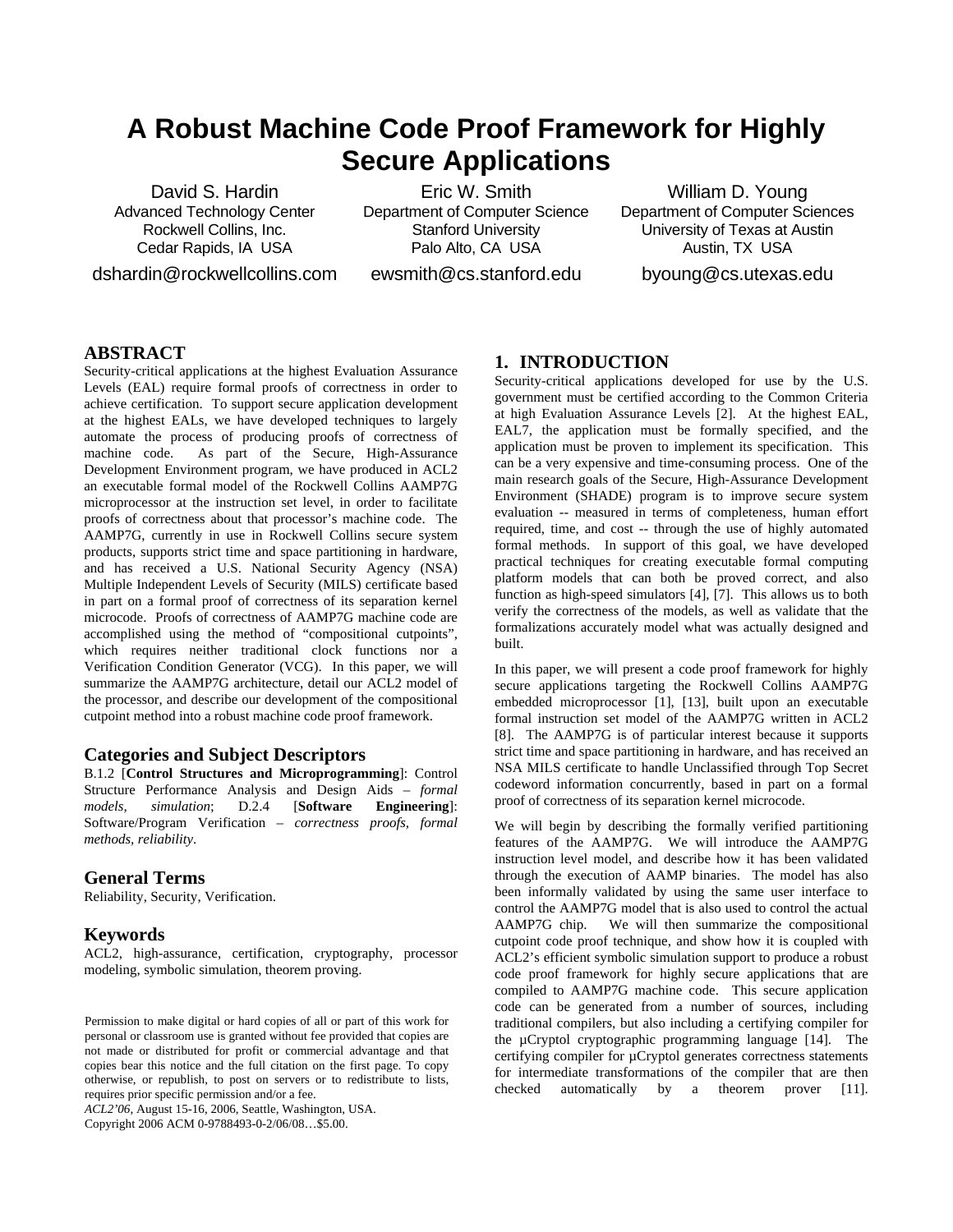# **A Robust Machine Code Proof Framework for Highly Secure Applications**

David S. Hardin Advanced Technology Center Rockwell Collins, Inc. Cedar Rapids, IA USA

dshardin@rockwellcollins.com

Eric W. Smith Department of Computer Science Stanford University Palo Alto, CA USA

ewsmith@cs.stanford.edu

William D. Young Department of Computer Sciences University of Texas at Austin Austin, TX USA byoung@cs.utexas.edu

**ABSTRACT**

Security-critical applications at the highest Evaluation Assurance Levels (EAL) require formal proofs of correctness in order to achieve certification. To support secure application development at the highest EALs, we have developed techniques to largely automate the process of producing proofs of correctness of machine code. As part of the Secure, High-Assurance Development Environment program, we have produced in ACL2 an executable formal model of the Rockwell Collins AAMP7G microprocessor at the instruction set level, in order to facilitate proofs of correctness about that processor's machine code. The AAMP7G, currently in use in Rockwell Collins secure system products, supports strict time and space partitioning in hardware, and has received a U.S. National Security Agency (NSA) Multiple Independent Levels of Security (MILS) certificate based in part on a formal proof of correctness of its separation kernel microcode. Proofs of correctness of AAMP7G machine code are accomplished using the method of "compositional cutpoints", which requires neither traditional clock functions nor a Verification Condition Generator (VCG). In this paper, we will summarize the AAMP7G architecture, detail our ACL2 model of the processor, and describe our development of the compositional cutpoint method into a robust machine code proof framework.

#### **Categories and Subject Descriptors**

B.1.2 [**Control Structures and Microprogramming**]: Control Structure Performance Analysis and Design Aids – *formal models, simulation*; D.2.4 [**Software Engineering**]: Software/Program Verification – *correctness proofs, formal methods, reliability*.

#### **General Terms**

Reliability, Security, Verification.

## **Keywords**

ACL2, high-assurance, certification, cryptography, processor modeling, symbolic simulation, theorem proving.

Permission to make digital or hard copies of all or part of this work for personal or classroom use is granted without fee provided that copies are not made or distributed for profit or commercial advantage and that copies bear this notice and the full citation on the first page. To copy otherwise, or republish, to post on servers or to redistribute to lists, requires prior specific permission and/or a fee.

*ACL2'06*, August 15-16, 2006, Seattle, Washington, USA. Copyright 2006 ACM 0-9788493-0-2/06/08…\$5.00.

# **1. INTRODUCTION**

Security-critical applications developed for use by the U.S. government must be certified according to the Common Criteria at high Evaluation Assurance Levels [\[2\].](#page-9-0) At the highest EAL, EAL7, the application must be formally specified, and the application must be proven to implement its specification. This can be a very expensive and time-consuming process. One of the main research goals of the Secure, High-Assurance Development Environment (SHADE) program is to improve secure system evaluation -- measured in terms of completeness, human effort required, time, and cost -- through the use of highly automated formal methods. In support of this goal, we have developed practical techniques for creating executable formal computing platform models that can both be proved correct, and also function as high-speed simulators [\[4\],](#page-9-1) [\[7\]](#page-9-2). This allows us to both verify the correctness of the models, as well as validate that the formalizations accurately model what was actually designed and built.

In this paper, we will present a code proof framework for highly secure applications targeting the Rockwell Collins AAMP7G embedded microprocessor [\[1\]](#page-9-3), [\[13\],](#page-9-4) built upon an executable formal instruction set model of the AAMP7G written in ACL2 [\[8\]](#page-9-5). The AAMP7G is of particular interest because it supports strict time and space partitioning in hardware, and has received an NSA MILS certificate to handle Unclassified through Top Secret codeword information concurrently, based in part on a formal proof of correctness of its separation kernel microcode.

We will begin by describing the formally verified partitioning features of the AAMP7G. We will introduce the AAMP7G instruction level model, and describe how it has been validated through the execution of AAMP binaries. The model has also been informally validated by using the same user interface to control the AAMP7G model that is also used to control the actual AAMP7G chip. We will then summarize the compositional cutpoint code proof technique, and show how it is coupled with ACL2's efficient symbolic simulation support to produce a robust code proof framework for highly secure applications that are compiled to AAMP7G machine code. This secure application code can be generated from a number of sources, including traditional compilers, but also including a certifying compiler for the µCryptol cryptographic programming language [\[14\]](#page-9-6). The certifying compiler for µCryptol generates correctness statements for intermediate transformations of the compiler that are then checked automatically by a theorem prover [\[11\].](#page-9-7)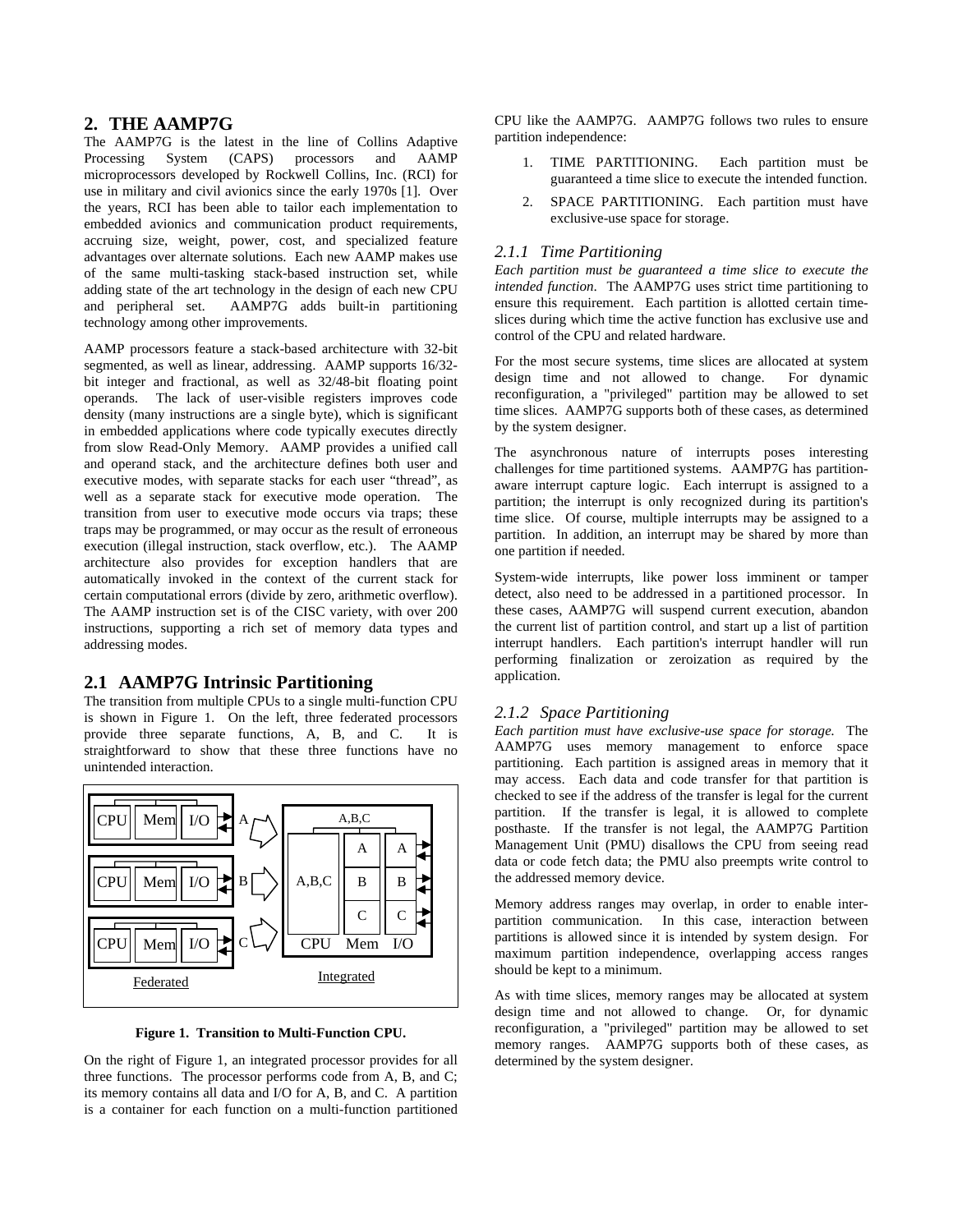## **2. THE AAMP7G**

The AAMP7G is the latest in the line of Collins Adaptive Processing System (CAPS) processors and AAMP microprocessors developed by Rockwell Collins, Inc. (RCI) for use in military and civil avionics since the early 1970s [\[1\]](#page-9-3). Over the years, RCI has been able to tailor each implementation to embedded avionics and communication product requirements, accruing size, weight, power, cost, and specialized feature advantages over alternate solutions. Each new AAMP makes use of the same multi-tasking stack-based instruction set, while adding state of the art technology in the design of each new CPU and peripheral set. AAMP7G adds built-in partitioning technology among other improvements.

AAMP processors feature a stack-based architecture with 32-bit segmented, as well as linear, addressing. AAMP supports 16/32 bit integer and fractional, as well as 32/48-bit floating point operands. The lack of user-visible registers improves code density (many instructions are a single byte), which is significant in embedded applications where code typically executes directly from slow Read-Only Memory. AAMP provides a unified call and operand stack, and the architecture defines both user and executive modes, with separate stacks for each user "thread", as well as a separate stack for executive mode operation. The transition from user to executive mode occurs via traps; these traps may be programmed, or may occur as the result of erroneous execution (illegal instruction, stack overflow, etc.). The AAMP architecture also provides for exception handlers that are automatically invoked in the context of the current stack for certain computational errors (divide by zero, arithmetic overflow). The AAMP instruction set is of the CISC variety, with over 200 instructions, supporting a rich set of memory data types and addressing modes.

## **2.1 AAMP7G Intrinsic Partitioning**

The transition from multiple CPUs to a single multi-function CPU is shown in [Figure 1.](#page-1-0) On the left, three federated processors provide three separate functions, A, B, and C. It is straightforward to show that these three functions have no unintended interaction.



**Figure 1. Transition to Multi-Function CPU.**

<span id="page-1-0"></span>On the right of [Figure 1,](#page-1-0) an integrated processor provides for all three functions. The processor performs code from A, B, and C; its memory contains all data and I/O for A, B, and C. A partition is a container for each function on a multi-function partitioned

CPU like the AAMP7G. AAMP7G follows two rules to ensure partition independence:

- 1. TIME PARTITIONING. Each partition must be guaranteed a time slice to execute the intended function.
- 2. SPACE PARTITIONING. Each partition must have exclusive-use space for storage.

#### *2.1.1 Time Partitioning*

*Each partition must be guaranteed a time slice to execute the intended function*. The AAMP7G uses strict time partitioning to ensure this requirement. Each partition is allotted certain timeslices during which time the active function has exclusive use and control of the CPU and related hardware.

For the most secure systems, time slices are allocated at system design time and not allowed to change. For dynamic reconfiguration, a "privileged" partition may be allowed to set time slices. AAMP7G supports both of these cases, as determined by the system designer.

The asynchronous nature of interrupts poses interesting challenges for time partitioned systems. AAMP7G has partitionaware interrupt capture logic. Each interrupt is assigned to a partition; the interrupt is only recognized during its partition's time slice. Of course, multiple interrupts may be assigned to a partition. In addition, an interrupt may be shared by more than one partition if needed.

System-wide interrupts, like power loss imminent or tamper detect, also need to be addressed in a partitioned processor. In these cases, AAMP7G will suspend current execution, abandon the current list of partition control, and start up a list of partition interrupt handlers. Each partition's interrupt handler will run performing finalization or zeroization as required by the application.

#### *2.1.2 Space Partitioning*

*Each partition must have exclusive-use space for storage.* The AAMP7G uses memory management to enforce space partitioning. Each partition is assigned areas in memory that it may access. Each data and code transfer for that partition is checked to see if the address of the transfer is legal for the current partition. If the transfer is legal, it is allowed to complete posthaste. If the transfer is not legal, the AAMP7G Partition Management Unit (PMU) disallows the CPU from seeing read data or code fetch data; the PMU also preempts write control to the addressed memory device.

Memory address ranges may overlap, in order to enable interpartition communication. In this case, interaction between partitions is allowed since it is intended by system design. For maximum partition independence, overlapping access ranges should be kept to a minimum.

As with time slices, memory ranges may be allocated at system design time and not allowed to change. Or, for dynamic reconfiguration, a "privileged" partition may be allowed to set memory ranges. AAMP7G supports both of these cases, as determined by the system designer.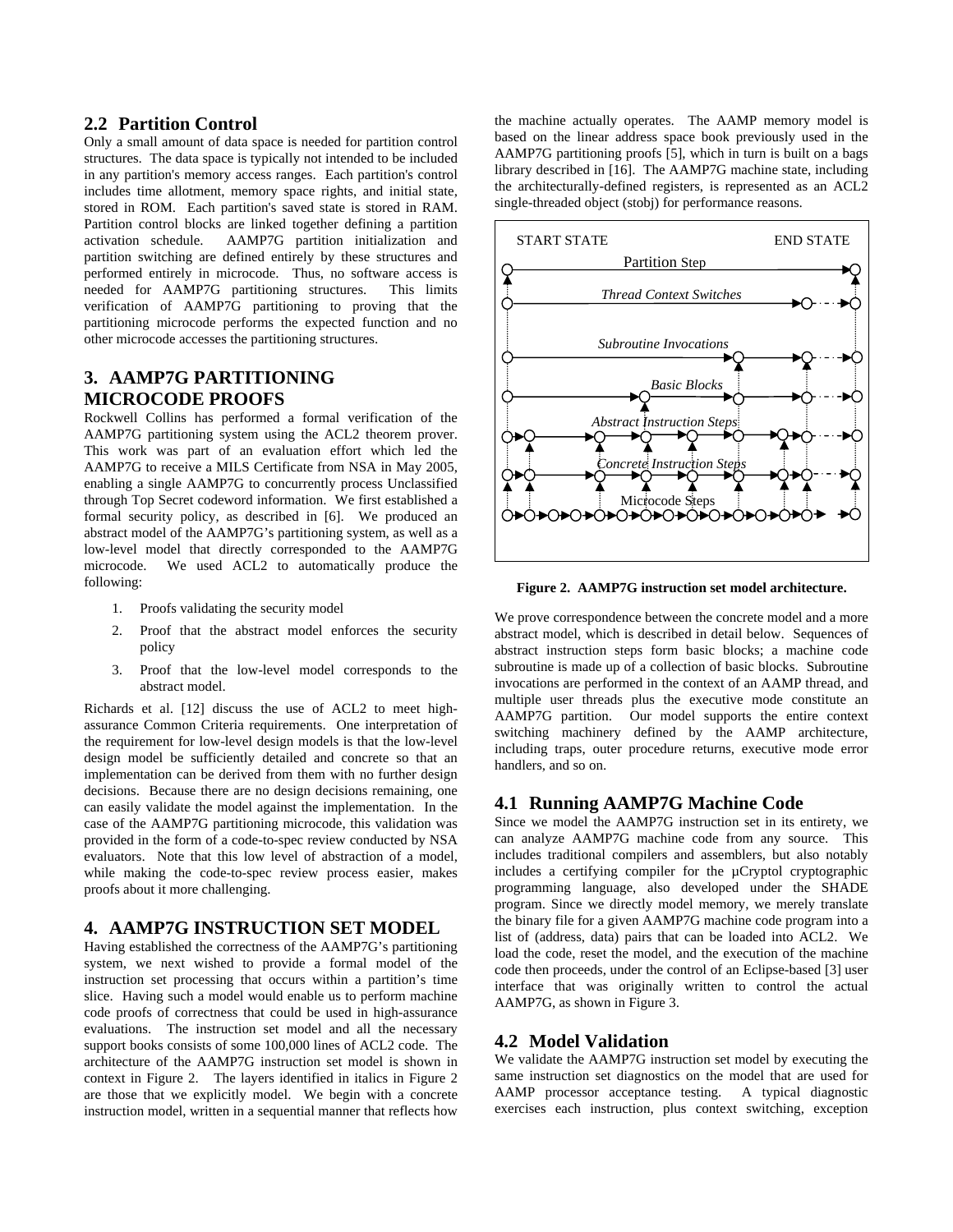### **2.2 Partition Control**

Only a small amount of data space is needed for partition control structures. The data space is typically not intended to be included in any partition's memory access ranges. Each partition's control includes time allotment, memory space rights, and initial state, stored in ROM. Each partition's saved state is stored in RAM. Partition control blocks are linked together defining a partition activation schedule. AAMP7G partition initialization and partition switching are defined entirely by these structures and performed entirely in microcode. Thus, no software access is needed for AAMP7G partitioning structures. This limits verification of AAMP7G partitioning to proving that the partitioning microcode performs the expected function and no other microcode accesses the partitioning structures.

## **3. AAMP7G PARTITIONING MICROCODE PROOFS**

Rockwell Collins has performed a formal verification of the AAMP7G partitioning system using the ACL2 theorem prover. This work was part of an evaluation effort which led the AAMP7G to receive a MILS Certificate from NSA in May 2005, enabling a single AAMP7G to concurrently process Unclassified through Top Secret codeword information. We first established a formal security policy, as described in [\[6\].](#page-9-8) We produced an abstract model of the AAMP7G's partitioning system, as well as a low-level model that directly corresponded to the AAMP7G microcode. We used ACL2 to automatically produce the following:

- <span id="page-2-0"></span>1. Proofs validating the security model
- 2. Proof that the abstract model enforces the security policy
- 3. Proof that the low-level model corresponds to the abstract model.

Richards et al. [\[12\]](#page-9-9) discuss the use of ACL2 to meet highassurance Common Criteria requirements. One interpretation of the requirement for low-level design models is that the low-level design model be sufficiently detailed and concrete so that an implementation can be derived from them with no further design decisions. Because there are no design decisions remaining, one can easily validate the model against the implementation. In the case of the AAMP7G partitioning microcode, this validation was provided in the form of a code-to-spec review conducted by NSA evaluators. Note that this low level of abstraction of a model, while making the code-to-spec review process easier, makes proofs about it more challenging.

## **4. AAMP7G INSTRUCTION SET MODEL**

Having established the correctness of the AAMP7G's partitioning system, we next wished to provide a formal model of the instruction set processing that occurs within a partition's time slice. Having such a model would enable us to perform machine code proofs of correctness that could be used in high-assurance evaluations. The instruction set model and all the necessary support books consists of some 100,000 lines of ACL2 code. The architecture of the AAMP7G instruction set model is shown in context in [Figure 2](#page-2-0). The layers identified in italics in [Figure 2](#page-2-0) are those that we explicitly model. We begin with a concrete instruction model, written in a sequential manner that reflects how

the machine actually operates. The AAMP memory model is based on the linear address space book previously used in the AAMP7G partitioning proofs [\[5\],](#page-9-10) which in turn is built on a bags library described in [\[16\]](#page-9-11). The AAMP7G machine state, including the architecturally-defined registers, is represented as an ACL2 single-threaded object (stobj) for performance reasons.



**Figure 2. AAMP7G instruction set model architecture.** 

We prove correspondence between the concrete model and a more abstract model, which is described in detail below. Sequences of abstract instruction steps form basic blocks; a machine code subroutine is made up of a collection of basic blocks. Subroutine invocations are performed in the context of an AAMP thread, and multiple user threads plus the executive mode constitute an AAMP7G partition. Our model supports the entire context switching machinery defined by the AAMP architecture, including traps, outer procedure returns, executive mode error handlers, and so on.

### **4.1 Running AAMP7G Machine Code**

Since we model the AAMP7G instruction set in its entirety, we can analyze AAMP7G machine code from any source. This includes traditional compilers and assemblers, but also notably includes a certifying compiler for the µCryptol cryptographic programming language, also developed under the SHADE program. Since we directly model memory, we merely translate the binary file for a given AAMP7G machine code program into a list of (address, data) pairs that can be loaded into ACL2. We load the code, reset the model, and the execution of the machine code then proceeds, under the control of an Eclipse-based [\[3\]](#page-9-12) user interface that was originally written to control the actual AAMP7G, as shown in [Figure 3](#page-3-0).

#### **4.2 Model Validation**

We validate the AAMP7G instruction set model by executing the same instruction set diagnostics on the model that are used for AAMP processor acceptance testing. A typical diagnostic exercises each instruction, plus context switching, exception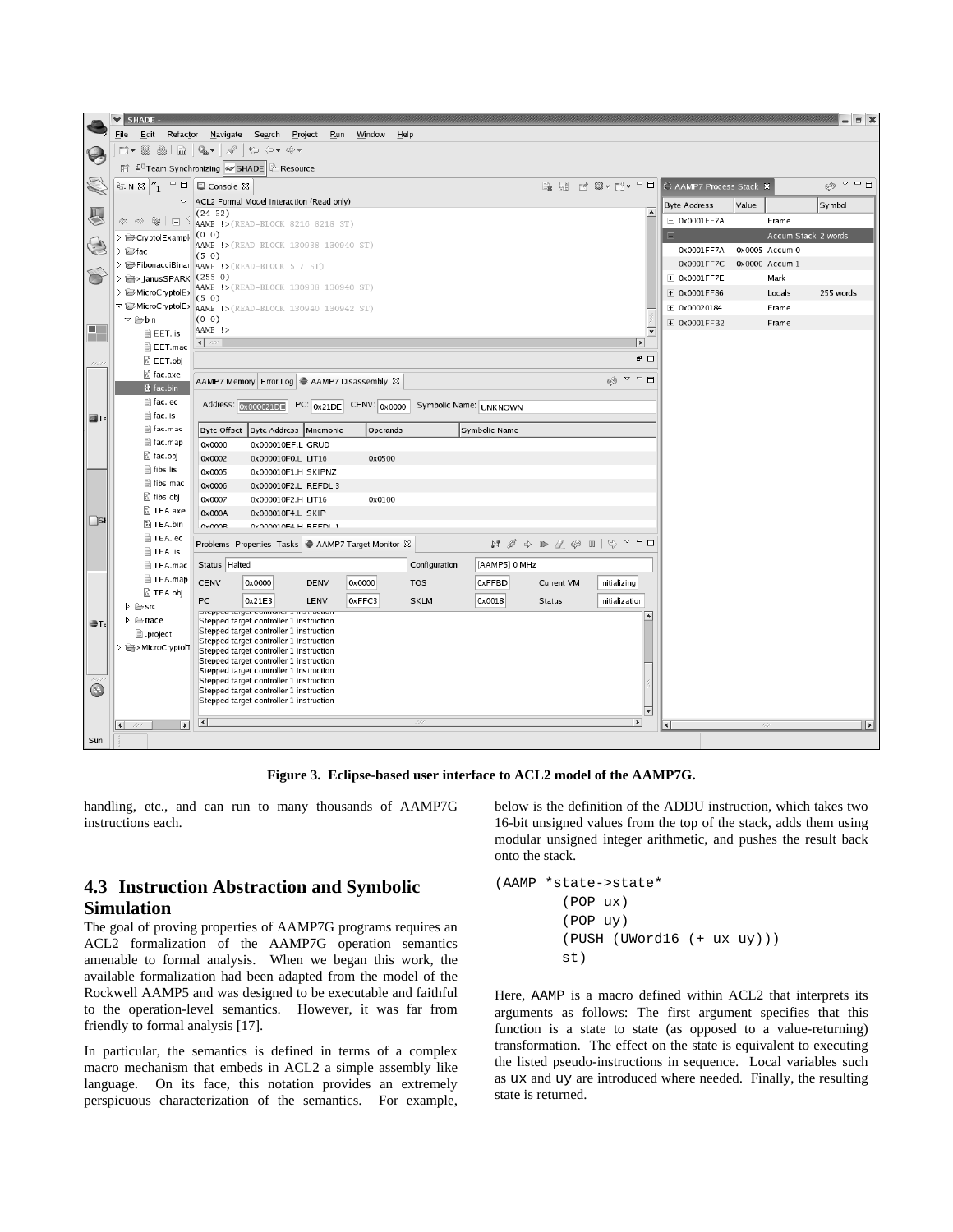|                          | $\checkmark$<br>SHADE -                                                            |                                                                                                                                                                                                |                          |                     | □ ※                                                  |  |  |  |  |
|--------------------------|------------------------------------------------------------------------------------|------------------------------------------------------------------------------------------------------------------------------------------------------------------------------------------------|--------------------------|---------------------|------------------------------------------------------|--|--|--|--|
|                          | Edit<br>File<br>Refactor<br>Navigate<br>Search<br>Project<br>Run<br>Window<br>Help |                                                                                                                                                                                                |                          |                     |                                                      |  |  |  |  |
|                          | $\overrightarrow{010}$<br>EŜY.<br>$\Box$<br>ä                                      | $Q_{\rm h}$ $\sim$<br>$\leftrightarrow$ $\Leftrightarrow$<br>18                                                                                                                                |                          |                     |                                                      |  |  |  |  |
|                          |                                                                                    | <b>named and Synchronizing Sov SHADE</b><br>Resource                                                                                                                                           |                          |                     |                                                      |  |  |  |  |
| O                        | $\approx$ N $\approx$ $\sim$ $1$<br>$\blacksquare$                                 | B JI F U V D + F D<br>■ Console ⊠                                                                                                                                                              | C AAMP7 Process Stack X  |                     | $\triangledown$ $\triangledown$ $\triangledown$<br>ෙ |  |  |  |  |
|                          | $\blacktriangledown$                                                               | ACL2 Formal Model Interaction (Read only)                                                                                                                                                      | <b>Byte Address</b>      | Value               | Symbol                                               |  |  |  |  |
| 心                        | $\Leftrightarrow \mathbb{Q} \mid \Box$                                             | $\left  \right.$<br>(24 32)                                                                                                                                                                    | $-$ 0x0001FF7A           | Frame               |                                                      |  |  |  |  |
|                          |                                                                                    | AAMP !> (READ-BLOCK 8216 8218 ST)<br>(0 0)                                                                                                                                                     | $\blacksquare$           | Accum Stack 2 words |                                                      |  |  |  |  |
| G                        | D <b>Example</b><br>$\triangleright \Box$ fac                                      | AAMP !> (READ-BLOCK 130938 130940 ST)                                                                                                                                                          | 0x0001FF7A               | 0x0005 Accum 0      |                                                      |  |  |  |  |
|                          |                                                                                    | (50)<br><b>D G</b> FibonacciBinar AAMP !> (READ-BLOCK 5 7 ST)                                                                                                                                  | 0x0001FF7C               | 0x0000 Accum 1      |                                                      |  |  |  |  |
|                          | ▷ cd > JanusSPARK (255 0)                                                          |                                                                                                                                                                                                | $\pm$ 0x0001FF7E         | Mark                |                                                      |  |  |  |  |
|                          | D i MicroCryptolE>                                                                 | AAMP !> (READ-BLOCK 130938 130940 ST)                                                                                                                                                          | + 0x0001FF86             | Locals              | 255 words                                            |  |  |  |  |
|                          | ▽ imcroCryptolE>                                                                   | (50)<br>AAMP !> (READ-BLOCK 130940 130942 ST)                                                                                                                                                  | $\pm$ 0x00020184         | Frame               |                                                      |  |  |  |  |
|                          | $\triangledown$ $\triangleright$ bin                                               | (0 0)                                                                                                                                                                                          | + 0x0001FFB2             | Frame               |                                                      |  |  |  |  |
| $\blacksquare$<br>$\Box$ | <b>B</b> EET.lis                                                                   | AAMP !><br>$\overline{\mathbf{v}}$                                                                                                                                                             |                          |                     |                                                      |  |  |  |  |
|                          | E EET.mac                                                                          | $\left  \left\langle \cdot \right  \right\rangle$<br>$\vert \cdot \vert$                                                                                                                       |                          |                     |                                                      |  |  |  |  |
| 1111                     | ි EET.obj                                                                          | $B$ $\Box$                                                                                                                                                                                     |                          |                     |                                                      |  |  |  |  |
|                          | ි] fac.axe                                                                         | $\circ$ = $\Box$<br>69<br>AAMP7 Memory Error Log + AAMP7 Disassembly $\boxtimes$                                                                                                               |                          |                     |                                                      |  |  |  |  |
|                          | tac.bin                                                                            |                                                                                                                                                                                                |                          |                     |                                                      |  |  |  |  |
|                          | fac.lec                                                                            | Address: 0x000021DE<br>$PC: 0x21DE$<br>CENV: 0x0000<br>Symbolic Name: UNKNOWN                                                                                                                  |                          |                     |                                                      |  |  |  |  |
| <b>ET</b>                | $\blacksquare$ fac.lis                                                             |                                                                                                                                                                                                |                          |                     |                                                      |  |  |  |  |
|                          | fac.mac<br>■ fac.map                                                               | Byte Offset<br>Byte Address Mnemonic<br>Operands<br>Symbolic Name                                                                                                                              |                          |                     |                                                      |  |  |  |  |
|                          | ी fac.obj                                                                          | 0x000010EF.L GRUD<br>0x0000                                                                                                                                                                    |                          |                     |                                                      |  |  |  |  |
|                          | <b>■ fibs.lis</b>                                                                  | 0x0002<br>0x000010F0.L LIT16<br>0x0500<br>0x0005<br>0x000010F1.H SKIPNZ                                                                                                                        |                          |                     |                                                      |  |  |  |  |
|                          | fibs.mac                                                                           | 0x0006<br>0x000010F2.L REFDL.3                                                                                                                                                                 |                          |                     |                                                      |  |  |  |  |
|                          | ी fibs.obj                                                                         | 0x0007<br>0x000010F2.H LIT16<br>0x0100                                                                                                                                                         |                          |                     |                                                      |  |  |  |  |
|                          | ी TEA.axe                                                                          | 0x000A<br>0x000010F4.L SKIP                                                                                                                                                                    |                          |                     |                                                      |  |  |  |  |
| $\vert$ si               | 圖 TEA.bin                                                                          | <b>OVOODR</b><br>0v000010E4 H REEDL 1                                                                                                                                                          |                          |                     |                                                      |  |  |  |  |
|                          | TEA.lec                                                                            | $\heartsuit$<br>$\triangledown$ $\blacksquare$ $\blacksquare$<br>$N \notimes$<br>$\Rightarrow P \quad P \quad \circledcirc P \quad P$<br>Problems Properties Tasks ● AAMP7 Target Monitor $\%$ |                          |                     |                                                      |  |  |  |  |
|                          | <b>■ TEA.lis</b>                                                                   |                                                                                                                                                                                                |                          |                     |                                                      |  |  |  |  |
|                          | TEA.mac                                                                            | [AAMP5] 0 MHz<br>Status Halted<br>Configuration                                                                                                                                                |                          |                     |                                                      |  |  |  |  |
|                          | <b>■ TEA.map</b>                                                                   | CENV<br>0x0000<br>0x0000<br><b>TOS</b><br>0xFFBD<br>Initializing<br><b>DENV</b><br>Current VM                                                                                                  |                          |                     |                                                      |  |  |  |  |
|                          | ी TEA.obj<br>$D \geqslant$ src                                                     | PC<br>0xFFC3<br>0x21E3<br>LENV<br><b>SKLM</b><br>0x0018<br><b>Status</b><br>Initialization                                                                                                     |                          |                     |                                                      |  |  |  |  |
|                          | $\triangleright \triangleright$ trace                                              | propped turget controller a matrixetion<br>Stepped target controller 1 instruction                                                                                                             |                          |                     |                                                      |  |  |  |  |
| $T_{\epsilon}$           | D.project                                                                          | Stepped target controller 1 instruction                                                                                                                                                        |                          |                     |                                                      |  |  |  |  |
|                          | D 图>MicroCryptol1                                                                  | Stepped target controller 1 instruction<br>Stepped target controller 1 instruction                                                                                                             |                          |                     |                                                      |  |  |  |  |
|                          |                                                                                    | Stepped target controller 1 instruction                                                                                                                                                        |                          |                     |                                                      |  |  |  |  |
|                          |                                                                                    | Stepped target controller 1 instruction<br>Stepped target controller 1 instruction                                                                                                             |                          |                     |                                                      |  |  |  |  |
| $\circledcirc$           |                                                                                    | Stepped target controller 1 instruction                                                                                                                                                        |                          |                     |                                                      |  |  |  |  |
|                          |                                                                                    | Stepped target controller 1 instruction<br>lv                                                                                                                                                  |                          |                     |                                                      |  |  |  |  |
|                          | $\vert \vert \vert$<br>$\vert \cdot \vert$<br>111                                  | $\vert \cdot \vert$<br>$ * $<br>111                                                                                                                                                            | $\overline{\mathcal{K}}$ |                     | $\overline{\phantom{a}}$                             |  |  |  |  |
| Sun                      |                                                                                    |                                                                                                                                                                                                |                          |                     |                                                      |  |  |  |  |
|                          |                                                                                    |                                                                                                                                                                                                |                          |                     |                                                      |  |  |  |  |

**Figure 3. Eclipse-based user interface to ACL2 model of the AAMP7G.** 

<span id="page-3-0"></span>handling, etc., and can run to many thousands of AAMP7G instructions each.

## **4.3 Instruction Abstraction and Symbolic Simulation**

The goal of proving properties of AAMP7G programs requires an ACL2 formalization of the AAMP7G operation semantics amenable to formal analysis. When we began this work, the available formalization had been adapted from the model of the Rockwell AAMP5 and was designed to be executable and faithful to the operation-level semantics. However, it was far from friendly to formal analysis [\[17\].](#page-9-13)

In particular, the semantics is defined in terms of a complex macro mechanism that embeds in ACL2 a simple assembly like language. On its face, this notation provides an extremely perspicuous characterization of the semantics. For example, below is the definition of the ADDU instruction, which takes two 16-bit unsigned values from the top of the stack, adds them using modular unsigned integer arithmetic, and pushes the result back onto the stack.

```
(AAMP *state->state* 
          (POP ux) 
          (POP uy) 
          (PUSH (UWord16 (+ ux uy))) 
          st)
```
Here, AAMP is a macro defined within ACL2 that interprets its arguments as follows: The first argument specifies that this function is a state to state (as opposed to a value-returning) transformation. The effect on the state is equivalent to executing the listed pseudo-instructions in sequence. Local variables such as ux and uy are introduced where needed. Finally, the resulting state is returned.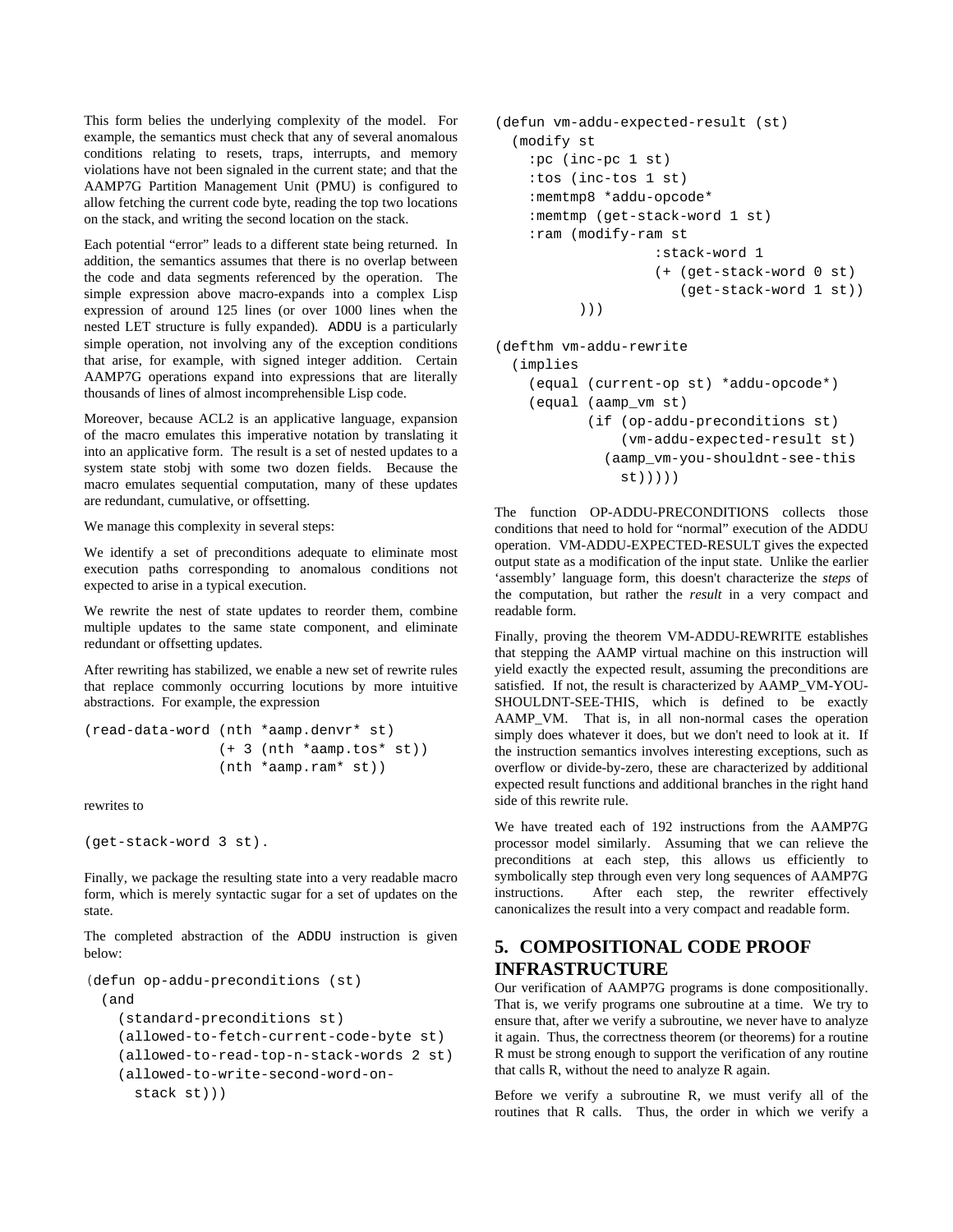This form belies the underlying complexity of the model. For example, the semantics must check that any of several anomalous conditions relating to resets, traps, interrupts, and memory violations have not been signaled in the current state; and that the AAMP7G Partition Management Unit (PMU) is configured to allow fetching the current code byte, reading the top two locations on the stack, and writing the second location on the stack.

Each potential "error" leads to a different state being returned. In addition, the semantics assumes that there is no overlap between the code and data segments referenced by the operation. The simple expression above macro-expands into a complex Lisp expression of around 125 lines (or over 1000 lines when the nested LET structure is fully expanded). ADDU is a particularly simple operation, not involving any of the exception conditions that arise, for example, with signed integer addition. Certain AAMP7G operations expand into expressions that are literally thousands of lines of almost incomprehensible Lisp code.

Moreover, because ACL2 is an applicative language, expansion of the macro emulates this imperative notation by translating it into an applicative form. The result is a set of nested updates to a system state stobj with some two dozen fields. Because the macro emulates sequential computation, many of these updates are redundant, cumulative, or offsetting.

We manage this complexity in several steps:

We identify a set of preconditions adequate to eliminate most execution paths corresponding to anomalous conditions not expected to arise in a typical execution.

We rewrite the nest of state updates to reorder them, combine multiple updates to the same state component, and eliminate redundant or offsetting updates.

After rewriting has stabilized, we enable a new set of rewrite rules that replace commonly occurring locutions by more intuitive abstractions. For example, the expression

```
(read-data-word (nth *aamp.denvr* st) 
                  (+ 3 (nth *aamp.tos* st)) 
                  (nth *aamp.ram* st))
```
rewrites to

```
(get-stack-word 3 st).
```
Finally, we package the resulting state into a very readable macro form, which is merely syntactic sugar for a set of updates on the state.

The completed abstraction of the ADDU instruction is given below:

```
(defun op-addu-preconditions (st) 
  (and 
     (standard-preconditions st) 
     (allowed-to-fetch-current-code-byte st) 
     (allowed-to-read-top-n-stack-words 2 st) 
    (allowed-to-write-second-word-on- 
       stack st)))
```

```
(defun vm-addu-expected-result (st) 
   (modify st 
     :pc (inc-pc 1 st) 
     :tos (inc-tos 1 st) 
     :memtmp8 *addu-opcode* 
     :memtmp (get-stack-word 1 st) 
     :ram (modify-ram st 
                      :stack-word 1 
                      (+ (get-stack-word 0 st) 
                          (get-stack-word 1 st)) 
            )))
```
(defthm vm-addu-rewrite

```
 (implies 
   (equal (current-op st) *addu-opcode*) 
   (equal (aamp_vm st) 
          (if (op-addu-preconditions st) 
               (vm-addu-expected-result st) 
             (aamp_vm-you-shouldnt-see-this 
              st))))
```
The function OP-ADDU-PRECONDITIONS collects those conditions that need to hold for "normal" execution of the ADDU operation. VM-ADDU-EXPECTED-RESULT gives the expected output state as a modification of the input state. Unlike the earlier 'assembly' language form, this doesn't characterize the *steps* of the computation, but rather the *result* in a very compact and readable form.

Finally, proving the theorem VM-ADDU-REWRITE establishes that stepping the AAMP virtual machine on this instruction will yield exactly the expected result, assuming the preconditions are satisfied. If not, the result is characterized by AAMP\_VM-YOU-SHOULDNT-SEE-THIS, which is defined to be exactly AAMP\_VM. That is, in all non-normal cases the operation simply does whatever it does, but we don't need to look at it. If the instruction semantics involves interesting exceptions, such as overflow or divide-by-zero, these are characterized by additional expected result functions and additional branches in the right hand side of this rewrite rule.

We have treated each of 192 instructions from the AAMP7G processor model similarly. Assuming that we can relieve the preconditions at each step, this allows us efficiently to symbolically step through even very long sequences of AAMP7G instructions. After each step, the rewriter effectively canonicalizes the result into a very compact and readable form.

# **5. COMPOSITIONAL CODE PROOF INFRASTRUCTURE**

Our verification of AAMP7G programs is done compositionally. That is, we verify programs one subroutine at a time. We try to ensure that, after we verify a subroutine, we never have to analyze it again. Thus, the correctness theorem (or theorems) for a routine R must be strong enough to support the verification of any routine that calls R, without the need to analyze R again.

Before we verify a subroutine R, we must verify all of the routines that R calls. Thus, the order in which we verify a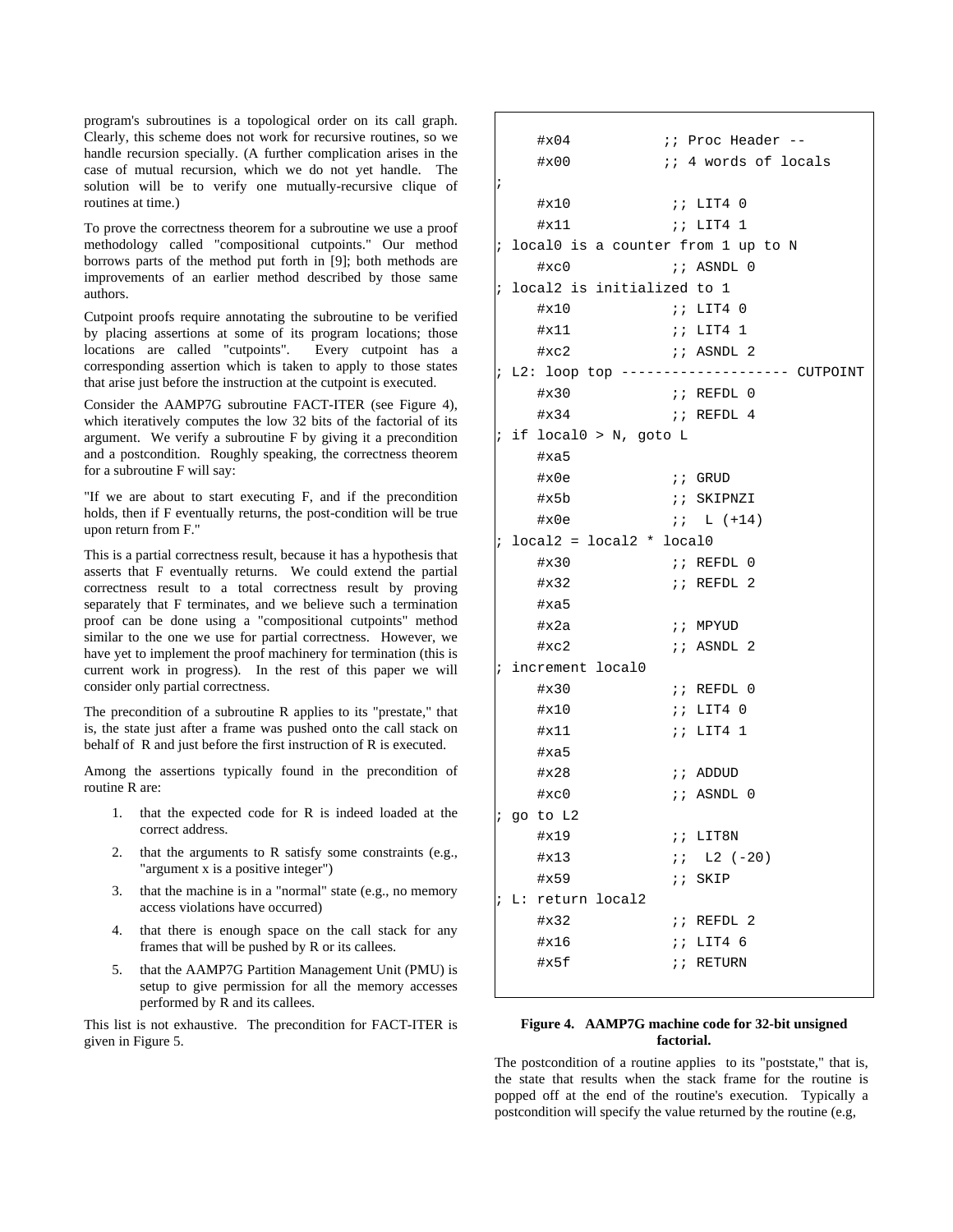program's subroutines is a topological order on its call graph. Clearly, this scheme does not work for recursive routines, so we handle recursion specially. (A further complication arises in the case of mutual recursion, which we do not yet handle. The solution will be to verify one mutually-recursive clique of routines at time.)

To prove the correctness theorem for a subroutine we use a proof methodology called "compositional cutpoints." Our method borrows parts of the method put forth in [\[9\];](#page-9-14) both methods are improvements of an earlier method described by those same authors.

Cutpoint proofs require annotating the subroutine to be verified by placing assertions at some of its program locations; those locations are called "cutpoints". Every cutpoint has a corresponding assertion which is taken to apply to those states that arise just before the instruction at the cutpoint is executed.

Consider the AAMP7G subroutine FACT-ITER (see [Figure 4\)](#page-5-0), which iteratively computes the low 32 bits of the factorial of its argument. We verify a subroutine F by giving it a precondition and a postcondition. Roughly speaking, the correctness theorem for a subroutine F will say:

"If we are about to start executing F, and if the precondition holds, then if F eventually returns, the post-condition will be true upon return from F."

This is a partial correctness result, because it has a hypothesis that asserts that F eventually returns. We could extend the partial correctness result to a total correctness result by proving separately that F terminates, and we believe such a termination proof can be done using a "compositional cutpoints" method similar to the one we use for partial correctness. However, we have yet to implement the proof machinery for termination (this is current work in progress). In the rest of this paper we will consider only partial correctness.

The precondition of a subroutine R applies to its "prestate," that is, the state just after a frame was pushed onto the call stack on behalf of R and just before the first instruction of R is executed.

Among the assertions typically found in the precondition of routine R are:

- 1. that the expected code for R is indeed loaded at the correct address.
- 2. that the arguments to R satisfy some constraints (e.g., "argument x is a positive integer")
- 3. that the machine is in a "normal" state (e.g., no memory access violations have occurred)
- 4. that there is enough space on the call stack for any frames that will be pushed by R or its callees.
- 5. that the AAMP7G Partition Management Unit (PMU) is setup to give permission for all the memory accesses performed by R and its callees.

<span id="page-5-0"></span>This list is not exhaustive. The precondition for FACT-ITER is given in [Figure 5.](#page-6-0)

|            |                            | $\#x04$                              |          | ;; Proc Header --                           |  |  |  |  |
|------------|----------------------------|--------------------------------------|----------|---------------------------------------------|--|--|--|--|
|            |                            | $\#x00$                              |          | ;; 4 words of locals                        |  |  |  |  |
| $\ddot{i}$ |                            |                                      |          |                                             |  |  |  |  |
|            |                            | #x10                                 |          | 77 LIT40                                    |  |  |  |  |
|            |                            | #x11                                 |          | <i>;;</i> LIT4 1;                           |  |  |  |  |
|            |                            | ; localO is a counter from 1 up to N |          |                                             |  |  |  |  |
|            |                            | #xc0                                 |          | ;; ASNDL 0                                  |  |  |  |  |
| $\ddot{i}$ |                            | local2 is initialized to 1           |          |                                             |  |  |  |  |
|            |                            | $\#x10$                              |          |                                             |  |  |  |  |
|            |                            | $\sharp$ x11                         |          |                                             |  |  |  |  |
|            |                            | #xc2                                 |          | ;; ASNDL 2                                  |  |  |  |  |
|            |                            |                                      |          | ; L2: loop top ------------------- CUTPOINT |  |  |  |  |
|            |                            | $\#x30$                              |          | ;; REFDL 0                                  |  |  |  |  |
|            |                            | $\#x34$                              |          | i:REFDL <sub>4</sub>                        |  |  |  |  |
|            |                            | $;$ if local $0 > N$ , goto L        |          |                                             |  |  |  |  |
|            |                            | #xa5                                 |          |                                             |  |  |  |  |
|            |                            | #x0e                                 |          | <i>;;</i> GRUD                              |  |  |  |  |
|            |                            | #x5b                                 |          | <i>;;</i> SKIPNZI                           |  |  |  |  |
|            |                            | #x0e                                 |          | $i: L (+14)$                                |  |  |  |  |
| $\ddot{i}$ | $local2 = local2 * local0$ |                                      |          |                                             |  |  |  |  |
|            |                            | $\#x30$                              |          | ;; REFDL 0                                  |  |  |  |  |
|            |                            | $\#x32$                              |          | ;; REFDL 2                                  |  |  |  |  |
|            |                            | #xa5                                 |          |                                             |  |  |  |  |
|            |                            | $\#x2a$                              |          | ;; MPYUD                                    |  |  |  |  |
|            |                            | $\#xc2$                              |          | ;; ASNDL 2;                                 |  |  |  |  |
|            | ; increment local0         |                                      |          |                                             |  |  |  |  |
|            |                            | $\#x30$                              |          | ;; REFDL 0                                  |  |  |  |  |
|            |                            | $\#x10$                              |          | $i: LIT4$ 0                                 |  |  |  |  |
|            |                            | $\#x11$                              |          | <i>;;</i> LIT4 1;                           |  |  |  |  |
|            |                            | #xa5                                 |          |                                             |  |  |  |  |
|            |                            | $\#x28$                              |          | <i>i</i> ; ADDUD                            |  |  |  |  |
|            |                            | #xc0                                 |          | ;; ASNDL 0                                  |  |  |  |  |
|            |                            | ; go to L2                           |          |                                             |  |  |  |  |
|            |                            | #x19                                 |          | 77 LIT8N                                    |  |  |  |  |
|            |                            | $\#x13$                              |          | $77. L2 (-20)$                              |  |  |  |  |
|            |                            | #x59                                 | $\cdots$ | SKIP                                        |  |  |  |  |
|            |                            | ; L: return local2                   |          |                                             |  |  |  |  |
|            |                            | $\#x32$                              |          | $i$ REFDL 2                                 |  |  |  |  |
|            |                            | $\#x16$                              |          | 77 LIT46                                    |  |  |  |  |
|            |                            | #x5f                                 |          | $77$ RETURN                                 |  |  |  |  |
|            |                            |                                      |          |                                             |  |  |  |  |

#### **Figure 4. AAMP7G machine code for 32-bit unsigned factorial.**

The postcondition of a routine applies to its "poststate," that is, the state that results when the stack frame for the routine is popped off at the end of the routine's execution. Typically a postcondition will specify the value returned by the routine (e.g,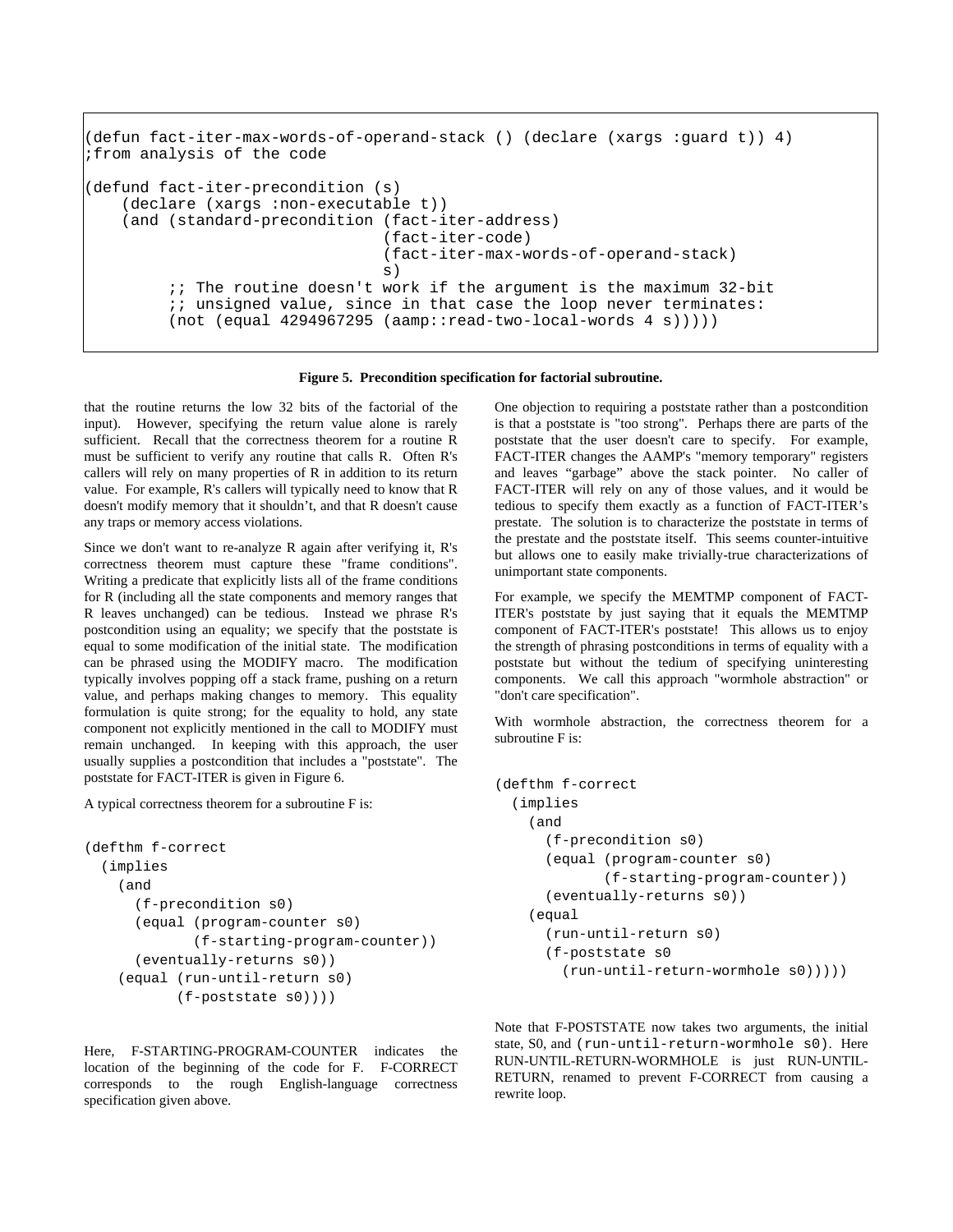```
(defun fact-iter-max-words-of-operand-stack () (declare (xargs :guard t)) 4) 
;from analysis of the code 
(defund fact-iter-precondition (s) 
    (declare (xargs :non-executable t)) 
    (and (standard-precondition (fact-iter-address) 
                                (fact-iter-code) 
                                (fact-iter-max-words-of-operand-stack) 
\mathbf{s})
        i; The routine doesn't work if the argument is the maximum 32-bit
        ;; unsigned value, since in that case the loop never terminates:
        (not (equal 4294967295 (aamp::read-two-local-words 4 s))))
```
**Figure 5. Precondition specification for factorial subroutine.** 

<span id="page-6-0"></span>that the routine returns the low 32 bits of the factorial of the input). However, specifying the return value alone is rarely sufficient. Recall that the correctness theorem for a routine R must be sufficient to verify any routine that calls R. Often R's callers will rely on many properties of R in addition to its return value. For example, R's callers will typically need to know that R doesn't modify memory that it shouldn't, and that R doesn't cause any traps or memory access violations.

Since we don't want to re-analyze R again after verifying it, R's correctness theorem must capture these "frame conditions". Writing a predicate that explicitly lists all of the frame conditions for R (including all the state components and memory ranges that R leaves unchanged) can be tedious. Instead we phrase R's postcondition using an equality; we specify that the poststate is equal to some modification of the initial state. The modification can be phrased using the MODIFY macro. The modification typically involves popping off a stack frame, pushing on a return value, and perhaps making changes to memory. This equality formulation is quite strong; for the equality to hold, any state component not explicitly mentioned in the call to MODIFY must remain unchanged. In keeping with this approach, the user usually supplies a postcondition that includes a "poststate". The poststate for FACT-ITER is given in [Figure 6](#page-7-0).

A typical correctness theorem for a subroutine F is:

```
(defthm f-correct 
   (implies 
     (and 
       (f-precondition s0) 
       (equal (program-counter s0) 
               (f-starting-program-counter)) 
       (eventually-returns s0)) 
     (equal (run-until-return s0) 
             (f-poststate s0))))
```
Here, F-STARTING-PROGRAM-COUNTER indicates the location of the beginning of the code for F. F-CORRECT corresponds to the rough English-language correctness specification given above.

One objection to requiring a poststate rather than a postcondition is that a poststate is "too strong". Perhaps there are parts of the poststate that the user doesn't care to specify. For example, FACT-ITER changes the AAMP's "memory temporary" registers and leaves "garbage" above the stack pointer. No caller of FACT-ITER will rely on any of those values, and it would be tedious to specify them exactly as a function of FACT-ITER's prestate. The solution is to characterize the poststate in terms of the prestate and the poststate itself. This seems counter-intuitive but allows one to easily make trivially-true characterizations of unimportant state components.

For example, we specify the MEMTMP component of FACT-ITER's poststate by just saying that it equals the MEMTMP component of FACT-ITER's poststate! This allows us to enjoy the strength of phrasing postconditions in terms of equality with a poststate but without the tedium of specifying uninteresting components. We call this approach "wormhole abstraction" or "don't care specification".

With wormhole abstraction, the correctness theorem for a subroutine F is:

```
(defthm f-correct 
   (implies 
     (and 
       (f-precondition s0) 
       (equal (program-counter s0) 
               (f-starting-program-counter)) 
       (eventually-returns s0)) 
     (equal 
       (run-until-return s0) 
       (f-poststate s0 
          (run-until-return-wormhole s0)))))
```
Note that F-POSTSTATE now takes two arguments, the initial state, S0, and (run-until-return-wormhole s0). Here RUN-UNTIL-RETURN-WORMHOLE is just RUN-UNTIL-RETURN, renamed to prevent F-CORRECT from causing a rewrite loop.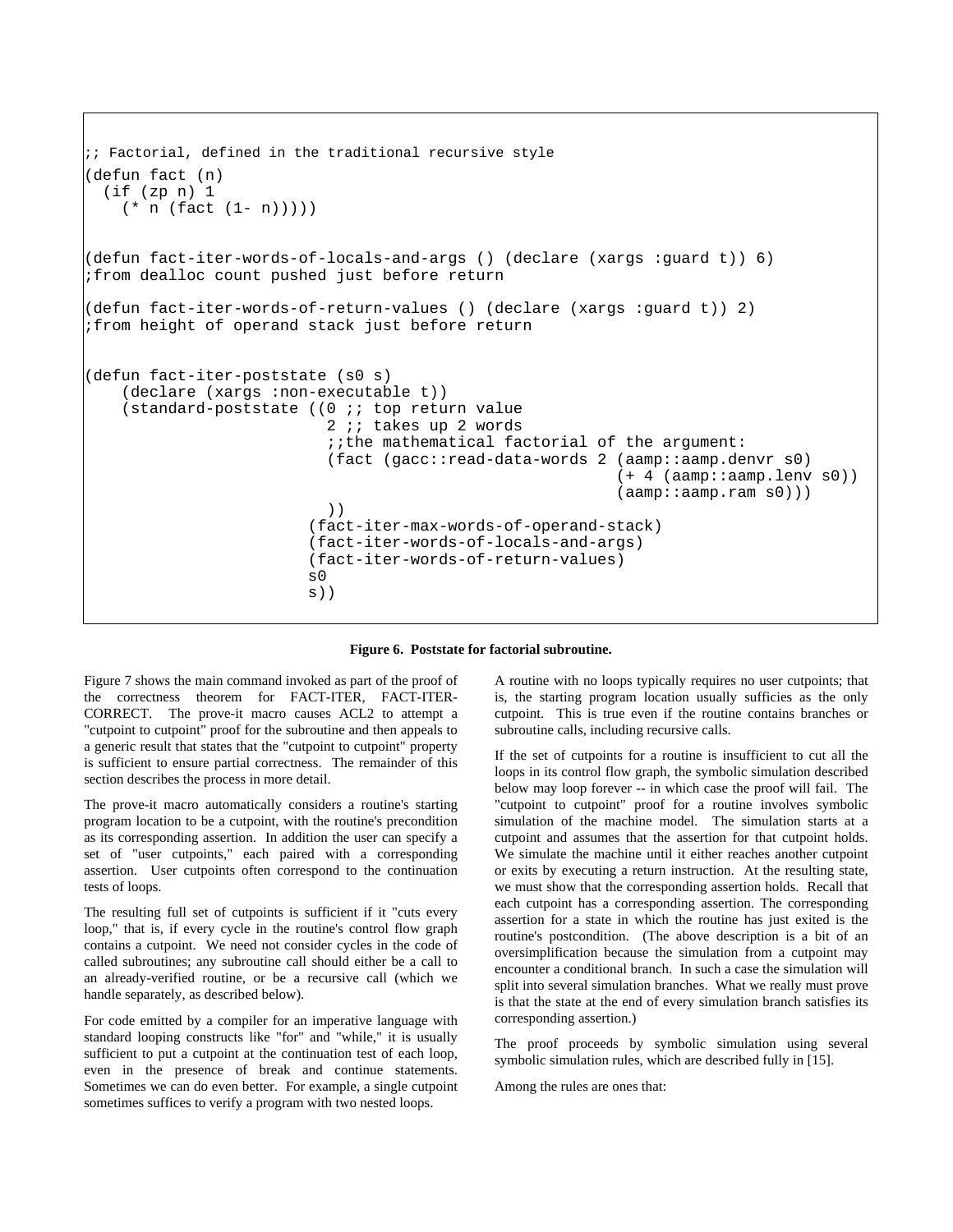```
i; Factorial, defined in the traditional recursive style
(defun fact (n) 
 (if (zp n) 1(* n (fact (1 - n))))(defun fact-iter-words-of-locals-and-args () (declare (xargs :guard t)) 6) 
;from dealloc count pushed just before return 
(defun fact-iter-words-of-return-values () (declare (xargs :guard t)) 2) 
;from height of operand stack just before return 
(defun fact-iter-poststate (s0 s) 
    (declare (xargs :non-executable t)) 
    (standard-poststate ((0 ;; top return value 
                          2 ;; takes up 2 words 
                          ;;the mathematical factorial of the argument: 
                          (fact (gacc::read-data-words 2 (aamp::aamp.denvr s0) 
                                                       (+ 4 (aamp::aamp.lenv s0)) (aamp::aamp.ram s0))) 
 )) 
                        (fact-iter-max-words-of-operand-stack) 
                        (fact-iter-words-of-locals-and-args) 
                        (fact-iter-words-of-return-values) 
 s0 
s))
```
#### **Figure 6. Poststate for factorial subroutine.**

<span id="page-7-0"></span>[Figure 7](#page-8-0) shows the main command invoked as part of the proof of the correctness theorem for FACT-ITER, FACT-ITER-CORRECT. The prove-it macro causes ACL2 to attempt a "cutpoint to cutpoint" proof for the subroutine and then appeals to a generic result that states that the "cutpoint to cutpoint" property is sufficient to ensure partial correctness. The remainder of this section describes the process in more detail.

The prove-it macro automatically considers a routine's starting program location to be a cutpoint, with the routine's precondition as its corresponding assertion. In addition the user can specify a set of "user cutpoints," each paired with a corresponding assertion. User cutpoints often correspond to the continuation tests of loops.

The resulting full set of cutpoints is sufficient if it "cuts every loop," that is, if every cycle in the routine's control flow graph contains a cutpoint. We need not consider cycles in the code of called subroutines; any subroutine call should either be a call to an already-verified routine, or be a recursive call (which we handle separately, as described below).

For code emitted by a compiler for an imperative language with standard looping constructs like "for" and "while," it is usually sufficient to put a cutpoint at the continuation test of each loop, even in the presence of break and continue statements. Sometimes we can do even better. For example, a single cutpoint sometimes suffices to verify a program with two nested loops.

A routine with no loops typically requires no user cutpoints; that is, the starting program location usually sufficies as the only cutpoint. This is true even if the routine contains branches or subroutine calls, including recursive calls.

If the set of cutpoints for a routine is insufficient to cut all the loops in its control flow graph, the symbolic simulation described below may loop forever -- in which case the proof will fail. The "cutpoint to cutpoint" proof for a routine involves symbolic simulation of the machine model. The simulation starts at a cutpoint and assumes that the assertion for that cutpoint holds. We simulate the machine until it either reaches another cutpoint or exits by executing a return instruction. At the resulting state, we must show that the corresponding assertion holds. Recall that each cutpoint has a corresponding assertion. The corresponding assertion for a state in which the routine has just exited is the routine's postcondition. (The above description is a bit of an oversimplification because the simulation from a cutpoint may encounter a conditional branch. In such a case the simulation will split into several simulation branches. What we really must prove is that the state at the end of every simulation branch satisfies its corresponding assertion.)

The proof proceeds by symbolic simulation using several symbolic simulation rules, which are described fully in [\[15\].](#page-9-15)

Among the rules are ones that: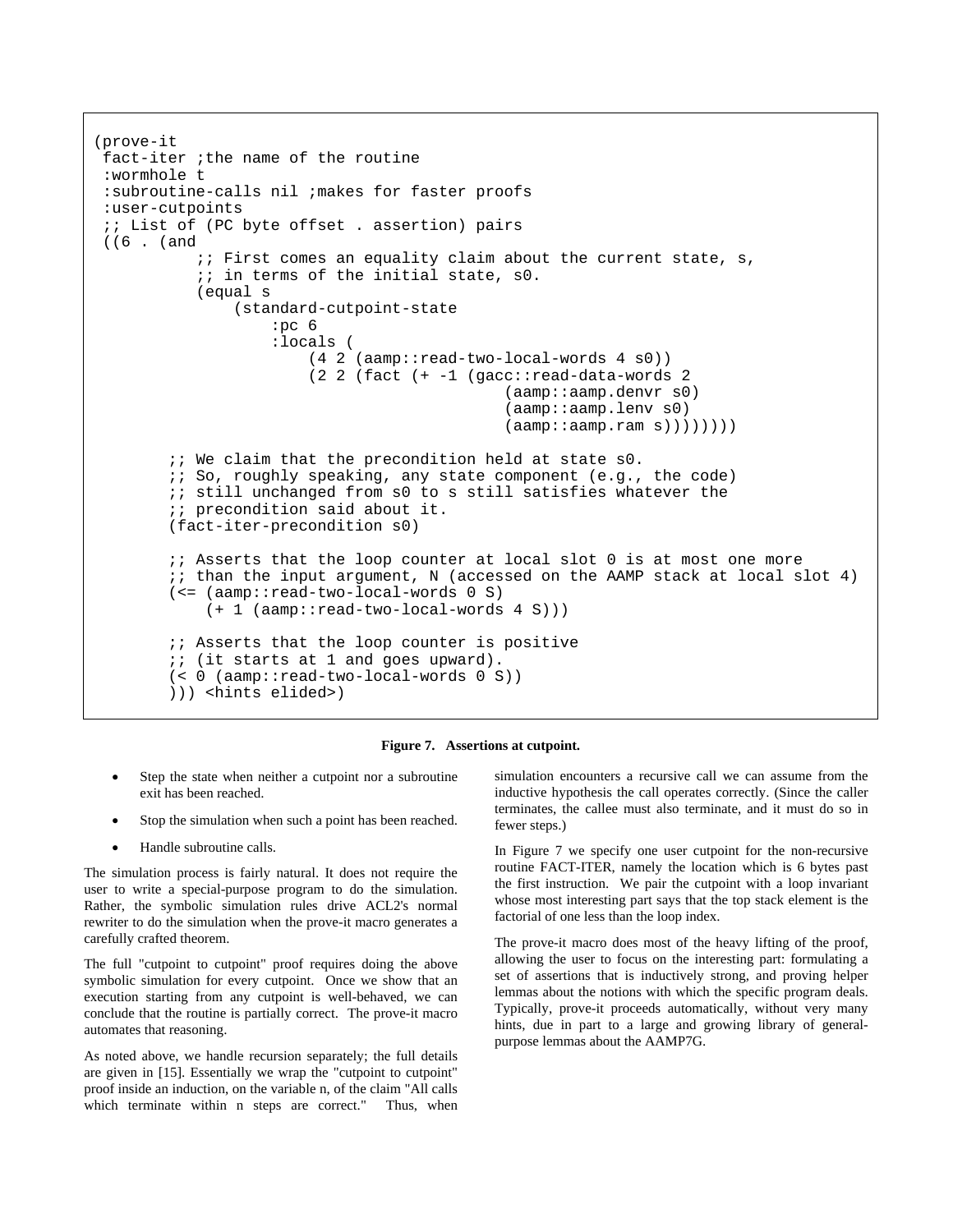```
 (prove-it 
 fact-iter ;the name of the routine 
 :wormhole t 
  :subroutine-calls nil ;makes for faster proofs 
  :user-cutpoints 
  ;; List of (PC byte offset . assertion) pairs 
 ((6 . (and 
           \forall i: First comes an equality claim about the current state, s,
            ;; in terms of the initial state, s0. 
            (equal s 
                 (standard-cutpoint-state 
                     :pc 6 
                     :locals ( 
                         (4 2 (aamp::read-two-local-words 4 s0)) 
                         (2 2 (fact (+ -1 (gacc::read-data-words 2 
                                                (aamp::aamp.denvr s0) 
                                                (aamp::aamp.lenv s0) 
                                                (aamp::aamp.ram s)))))))) 
        i; We claim that the precondition held at state s0.
         ;; So, roughly speaking, any state component (e.g., the code) 
         ;; still unchanged from s0 to s still satisfies whatever the 
        i; precondition said about it.
         (fact-iter-precondition s0) 
        i; Asserts that the loop counter at local slot 0 is at most one more
         ;; than the input argument, N (accessed on the AAMP stack at local slot 4) 
         (<= (aamp::read-two-local-words 0 S) 
             (+ 1 (aamp::read-two-local-words 4 S))) 
         ;; Asserts that the loop counter is positive 
         ;; (it starts at 1 and goes upward). 
         (< 0 (aamp::read-two-local-words 0 S)) 
         ))) <hints elided>)
```
#### **Figure 7. Assertions at cutpoint.**

- <span id="page-8-0"></span>Step the state when neither a cutpoint nor a subroutine exit has been reached.
- Stop the simulation when such a point has been reached.
- Handle subroutine calls.

The simulation process is fairly natural. It does not require the user to write a special-purpose program to do the simulation. Rather, the symbolic simulation rules drive ACL2's normal rewriter to do the simulation when the prove-it macro generates a carefully crafted theorem.

The full "cutpoint to cutpoint" proof requires doing the above symbolic simulation for every cutpoint. Once we show that an execution starting from any cutpoint is well-behaved, we can conclude that the routine is partially correct. The prove-it macro automates that reasoning.

As noted above, we handle recursion separately; the full details are given in [\[15\].](#page-9-15) Essentially we wrap the "cutpoint to cutpoint" proof inside an induction, on the variable n, of the claim "All calls which terminate within n steps are correct." Thus, when simulation encounters a recursive call we can assume from the inductive hypothesis the call operates correctly. (Since the caller terminates, the callee must also terminate, and it must do so in fewer steps.)

In [Figure 7](#page-8-0) we specify one user cutpoint for the non-recursive routine FACT-ITER, namely the location which is 6 bytes past the first instruction. We pair the cutpoint with a loop invariant whose most interesting part says that the top stack element is the factorial of one less than the loop index.

The prove-it macro does most of the heavy lifting of the proof, allowing the user to focus on the interesting part: formulating a set of assertions that is inductively strong, and proving helper lemmas about the notions with which the specific program deals. Typically, prove-it proceeds automatically, without very many hints, due in part to a large and growing library of generalpurpose lemmas about the AAMP7G.